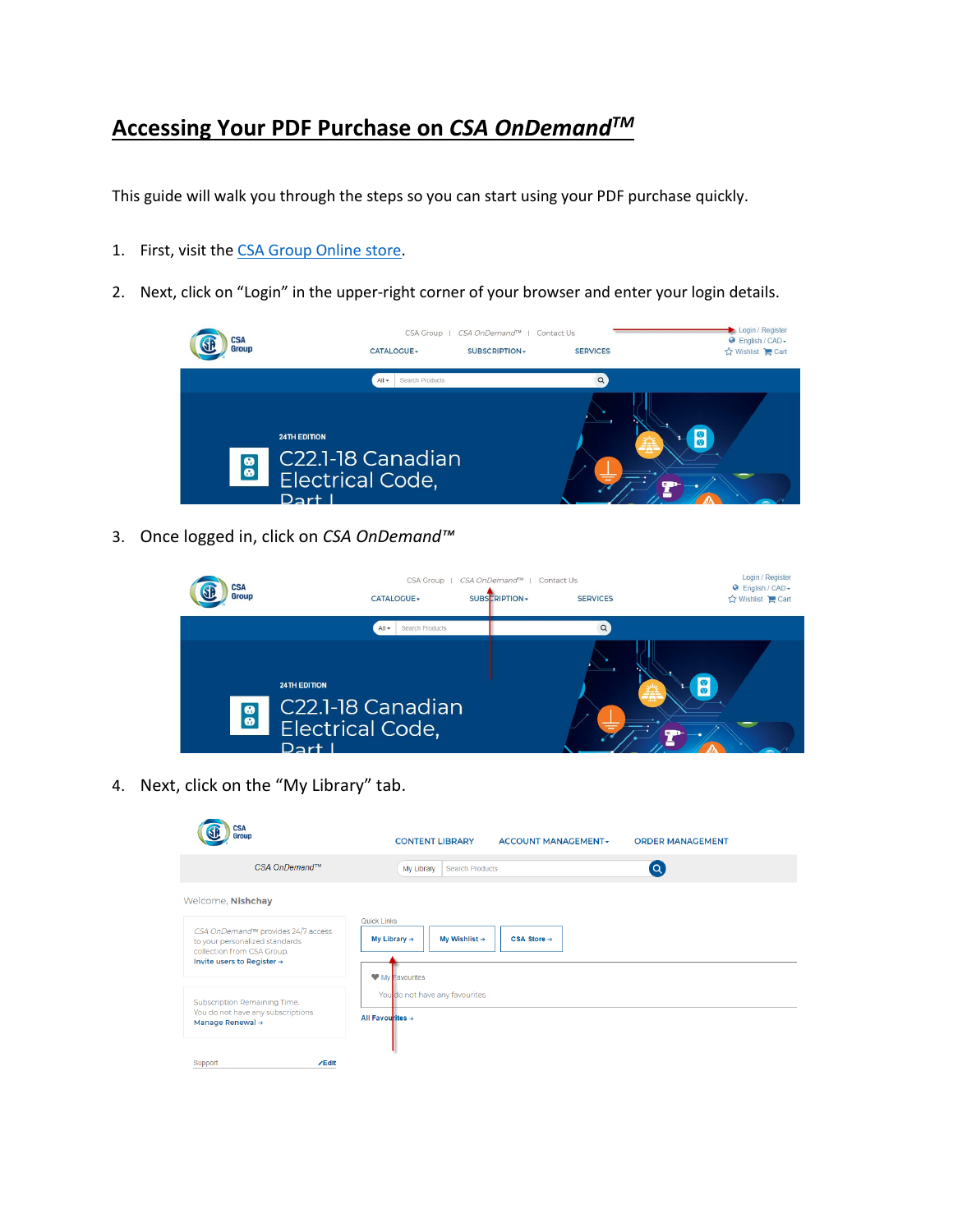## **Accessing Your PDF Purchase on** *CSA OnDemandTM*

This guide will walk you through the steps so you can start using your PDF purchase quickly.

- 1. First, visit th[e CSA Group Online store.](https://store.csagroup.org/?cclcl=en_US)
- 2. Next, click on "Login" in the upper-right corner of your browser and enter your login details.



3. Once logged in, click on *CSA OnDemand™*



4. Next, click on the "My Library" tab.

| CSA<br>Group                                                                                                                                 | <b>CONTENT LIBRARY</b><br><b>ACCOUNT MANAGEMENT-</b><br><b>ORDER MANAGEMENT</b>                 |
|----------------------------------------------------------------------------------------------------------------------------------------------|-------------------------------------------------------------------------------------------------|
| CSA OnDemand™                                                                                                                                | $\overline{a}$<br>My Library<br><b>Search Products</b>                                          |
| Welcome, Nishchay                                                                                                                            |                                                                                                 |
| CSA OnDemand™ provides 24/7 access<br>to your personalized standards<br>collection from CSA Group.<br>Invite users to Register $\rightarrow$ | Quick Links<br>My Wishlist $\rightarrow$<br>$CSA Store \rightarrow$<br>My Library $\rightarrow$ |
| Subscription Remaining Time.<br>You do not have any subscriptions<br>Manage Renewal →                                                        | My Favourites<br>You do not have any favourites                                                 |
|                                                                                                                                              | All Favourites $\rightarrow$                                                                    |
| Support<br><b>∕Edit</b>                                                                                                                      |                                                                                                 |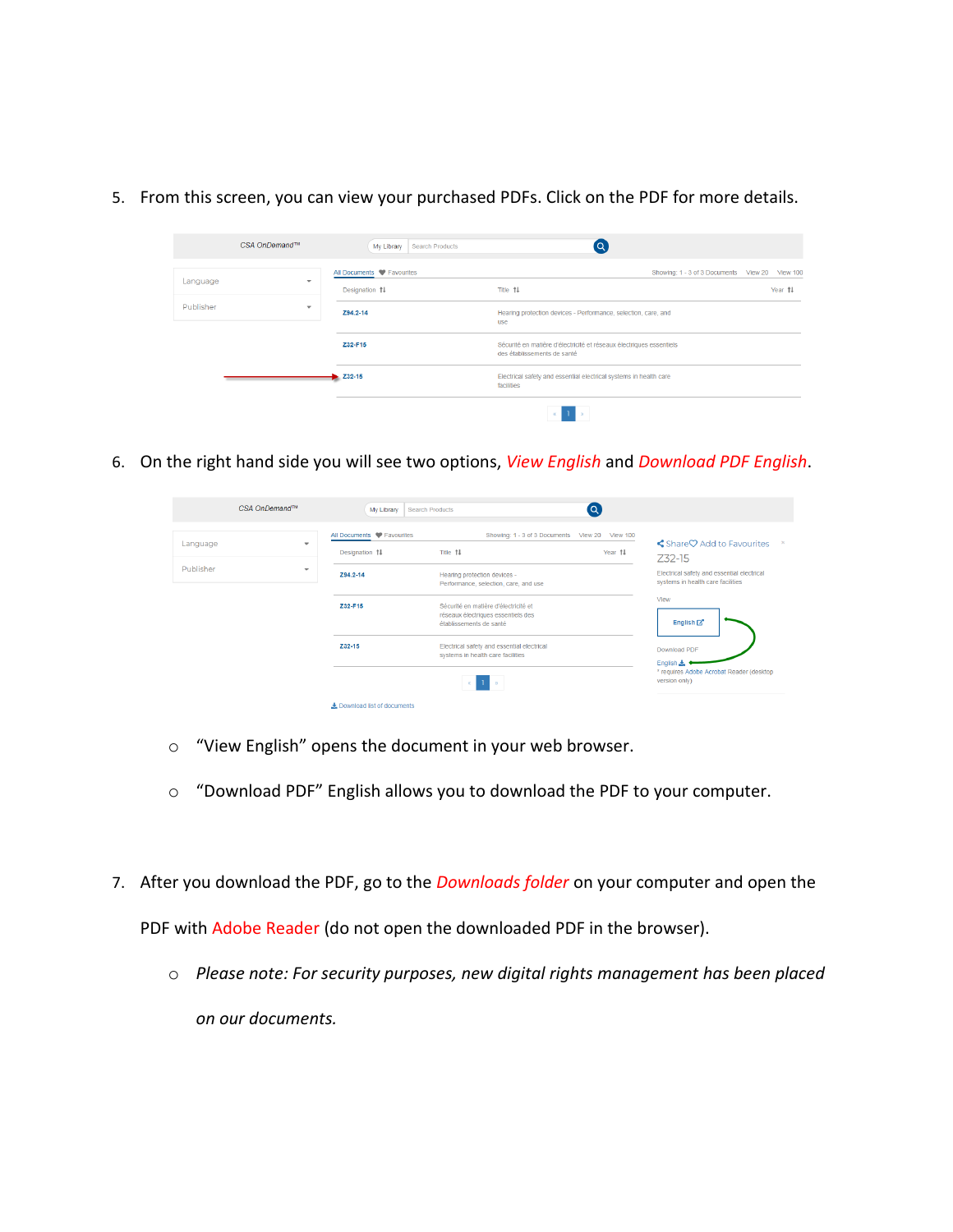CSA OnDemand™  $\bullet$ My Library Search Products All Documents V Favourites Showing: 1 - 3 of 3 Documents View 20 View 100 Language Designation 14 Title 11 Year 11

use

Hearing protection devices - Performance, selection, care, and

Sécurité en matière d'électricité et réseaux électriques essentiels<br>des établissements de santé

Electrical safety and essential electrical systems in health care<br>facilities

 $\langle \mathbf{1} \rangle$ 

Z94.2-14

Z32-F15

 $\overline{\smash{\big)}\ 232-15}$ 

Publisher

5. From this screen, you can view your purchased PDFs. Click on the PDF for more details.

6. On the right hand side you will see two options, *View English* and *Download PDF English*.

| CSA OnDemand™                                                                 |  | My Library<br><b>Search Products</b>                     |                                                                                                                                     | (Q      |                                                                                                                              |
|-------------------------------------------------------------------------------|--|----------------------------------------------------------|-------------------------------------------------------------------------------------------------------------------------------------|---------|------------------------------------------------------------------------------------------------------------------------------|
| Language<br>$\overline{\phantom{a}}$<br>Publisher<br>$\overline{\phantom{a}}$ |  | All Documents C Favourites<br>Designation 14<br>Z94.2-14 | Showing: 1 - 3 of 3 Documents View 20 View 100<br>Title 14<br>Hearing protection devices -<br>Performance, selection, care, and use | Year 14 | Share♡ Add to Favourites<br><b>Z32-15</b><br>Electrical safety and essential electrical<br>systems in health care facilities |
|                                                                               |  | Z32-F15                                                  | Sécurité en matière d'électricité et<br>réseaux électriques essentiels des<br>établissements de santé                               |         | View<br>English <sup>[2]</sup>                                                                                               |
|                                                                               |  | Z32-15                                                   | Electrical safety and essential electrical<br>systems in health care facilities                                                     |         | Download PDF<br>English &                                                                                                    |
|                                                                               |  | Download list of documents                               |                                                                                                                                     |         | * requires Adobe Acrobat Reader (desktop<br>version only)                                                                    |

- o "View English" opens the document in your web browser.
- o "Download PDF" English allows you to download the PDF to your computer.
- 7. After you download the PDF, go to the *Downloads folder* on your computer and open the PDF with Adobe Reader (do not open the downloaded PDF in the browser).
	- o *Please note: For security purposes, new digital rights management has been placed on our documents.*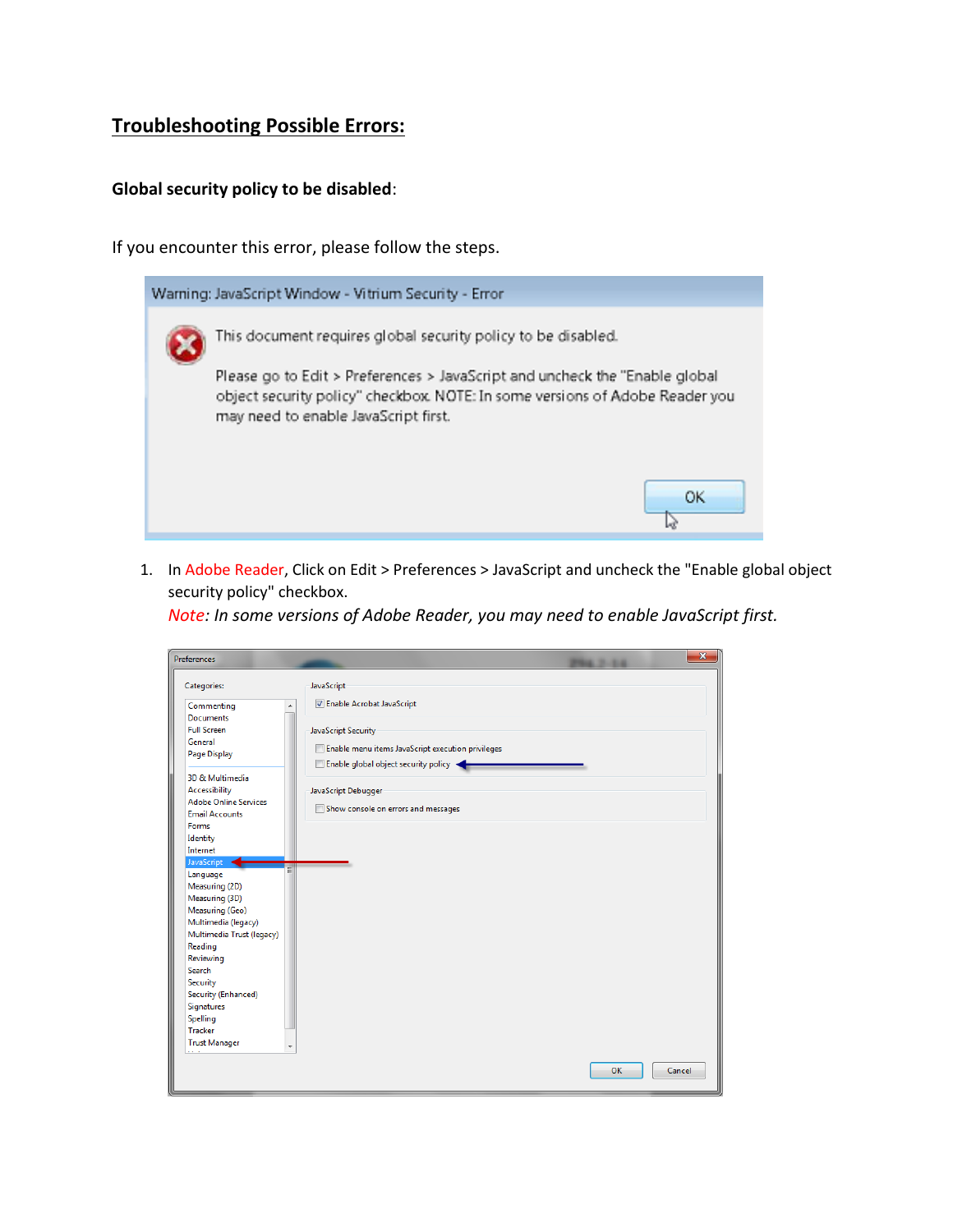## **Troubleshooting Possible Errors:**

## **Global security policy to be disabled**:

If you encounter this error, please follow the steps.



1. In Adobe Reader, Click on Edit > Preferences > JavaScript and uncheck the "Enable global object security policy" checkbox.

*Note: In some versions of Adobe Reader, you may need to enable JavaScript first.*

| <b>Preferences</b>                                                                        | $\mathbf{x}$                                                                                                     |
|-------------------------------------------------------------------------------------------|------------------------------------------------------------------------------------------------------------------|
| Categories:                                                                               | JavaScript                                                                                                       |
| Commenting<br><b>Documents</b>                                                            | <b>Z</b> Enable Acrobat JavaScript<br>▴                                                                          |
| <b>Full Screen</b><br>General<br>Page Display                                             | JavaScript Security<br>Enable menu items JavaScript execution privileges<br>Enable global object security policy |
| 3D & Multimedia<br>Accessibility<br><b>Adobe Online Services</b><br><b>Email Accounts</b> | JavaScript Debugger<br>Show console on errors and messages                                                       |
| Forms<br>Identity<br>Internet                                                             |                                                                                                                  |
| JavaScript<br>Language<br>Measuring (2D)<br>Measuring (3D)<br>Measuring (Geo)             |                                                                                                                  |
| Multimedia (legacy)<br>Multimedia Trust (legacy)<br>Reading<br>Reviewing                  |                                                                                                                  |
| Search<br>Security<br>Security (Enhanced)                                                 |                                                                                                                  |
| Signatures<br>Spelling<br>Tracker                                                         |                                                                                                                  |
| <b>Trust Manager</b>                                                                      | OK<br>Cancel                                                                                                     |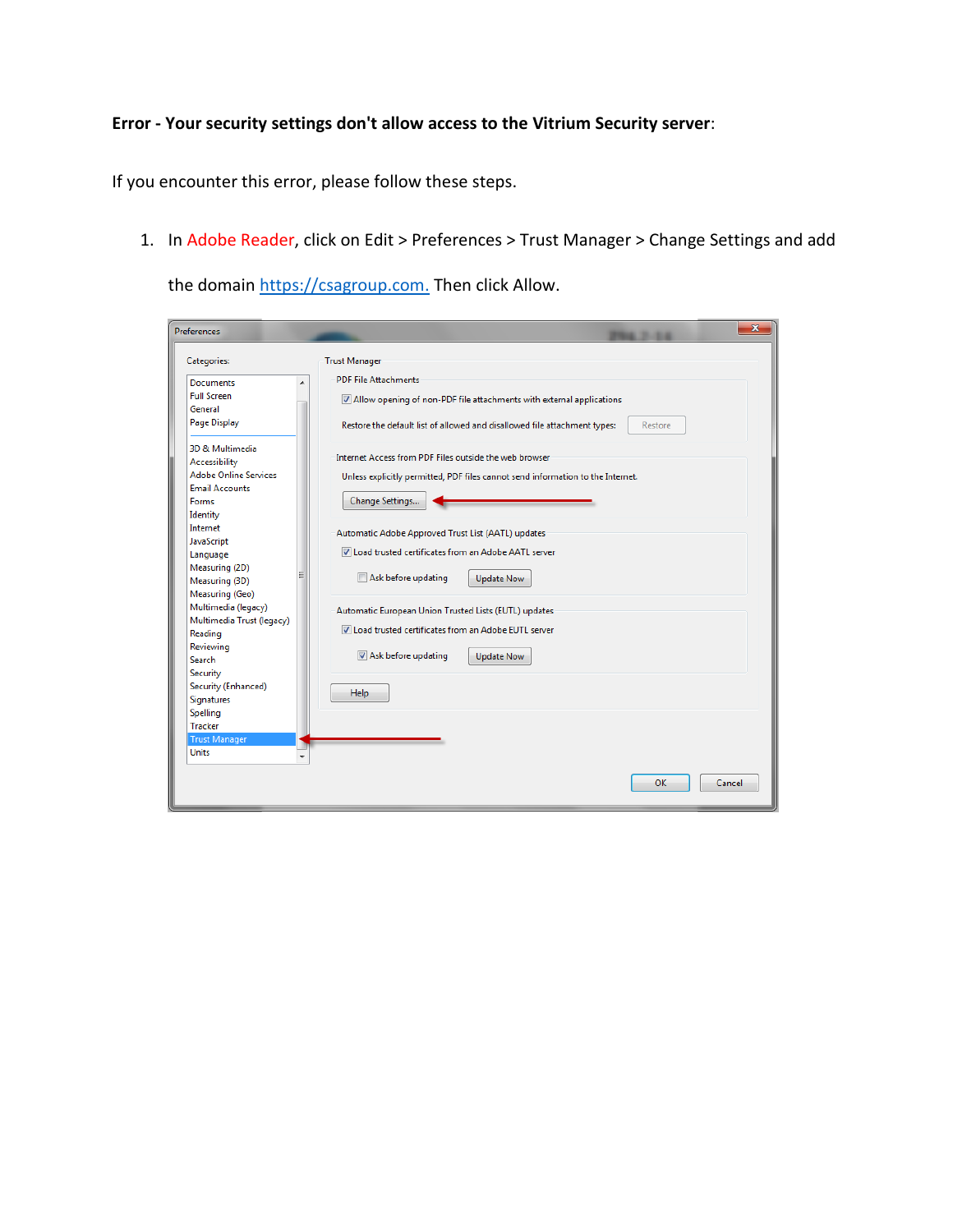## **Error - Your security settings don't allow access to the Vitrium Security server**:

If you encounter this error, please follow these steps.

1. In Adobe Reader, click on Edit > Preferences > Trust Manager > Change Settings and add

the domai[n https://csagroup.com.](https://csagroup.com/) Then click Allow.

| <b>Preferences</b>                                                                                                                                                                                                                                                                                                                                                                                                                                                                 | $\mathbf{x}$                                                                                                                                                                                                                                                                                                                                                                                                                                                                                                                                                                                                                                                                    |
|------------------------------------------------------------------------------------------------------------------------------------------------------------------------------------------------------------------------------------------------------------------------------------------------------------------------------------------------------------------------------------------------------------------------------------------------------------------------------------|---------------------------------------------------------------------------------------------------------------------------------------------------------------------------------------------------------------------------------------------------------------------------------------------------------------------------------------------------------------------------------------------------------------------------------------------------------------------------------------------------------------------------------------------------------------------------------------------------------------------------------------------------------------------------------|
| Categories:                                                                                                                                                                                                                                                                                                                                                                                                                                                                        | <b>Trust Manager</b>                                                                                                                                                                                                                                                                                                                                                                                                                                                                                                                                                                                                                                                            |
| Documents<br><b>Full Screen</b><br>General<br>Page Display<br>3D & Multimedia<br>Accessibility<br><b>Adobe Online Services</b><br><b>Email Accounts</b><br>Forms<br>Identity<br>Internet<br>JavaScript<br>Language<br>Measuring (2D)<br>Ξ<br>Measuring (3D)<br>Measuring (Geo)<br>Multimedia (legacy)<br>Multimedia Trust (legacy)<br>Reading<br>Reviewing<br><b>Search</b><br>Security<br>Security (Enhanced)<br>Signatures<br>Spelling<br><b>Tracker</b><br><b>Trust Manager</b> | <b>PDF File Attachments</b><br>Allow opening of non-PDF file attachments with external applications<br>Restore the default list of allowed and disallowed file attachment types:<br>Restore<br>Internet Access from PDF Files outside the web browser<br>Unless explicitly permitted, PDF files cannot send information to the Internet.<br>Change Settings<br>Automatic Adobe Approved Trust List (AATL) updates<br>V Load trusted certificates from an Adobe AATL server<br>Ask before updating<br>Update Now<br>Automatic European Union Trusted Lists (EUTL) updates<br>IV Load trusted certificates from an Adobe EUTL server<br>Ask before updating<br>Update Now<br>Help |
| <b>Units</b>                                                                                                                                                                                                                                                                                                                                                                                                                                                                       | OK<br>Cancel                                                                                                                                                                                                                                                                                                                                                                                                                                                                                                                                                                                                                                                                    |